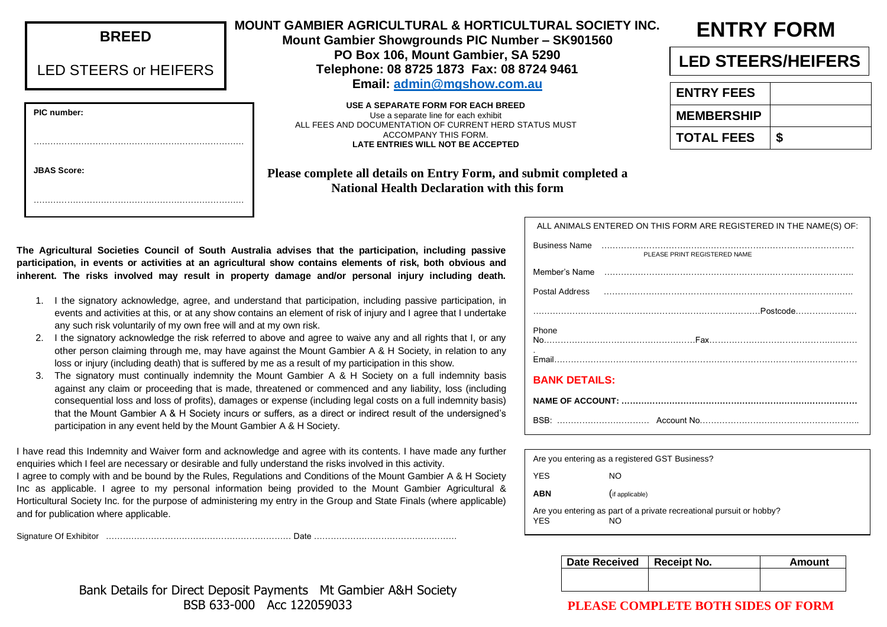| <b>BREED</b>          | <b>MOUNT GAMBIE</b><br><b>Mount G</b> |  |
|-----------------------|---------------------------------------|--|
| LED STEERS or HEIFERS | Ге                                    |  |
|                       |                                       |  |
| PIC number:           | ALL FEE                               |  |
|                       |                                       |  |
| <b>JBAS Score:</b>    | Please comp                           |  |
|                       |                                       |  |

#### ER AGRICULTURAL & HORTICULTURAL SOCIETY INC.

**Gambier Showgrounds PIC Number - SK901560 PO Box 106, Mount Gambier, SA 5290 Telephone: 08 8725 1873 Fax: 08 8724 9461 Email: [admin@mgshow.com.au](mailto:admin@mgshow.com.au)**

**USE A SEPARATE FORM FOR EACH BREED** Use a separate line for each exhibit S AND DOCUMENTATION OF CURRENT HERD STATUS MUST ACCOMPANY THIS FORM. **LATE ENTRIES WILL NOT BE ACCEPTED** 

#### **plete all details on Entry Form, and submit completed a National Health Declaration with this form**

# **ENTRY FORM**

# **LED STEERS/HEIFERS**

| <b>ENTRY FEES</b> |    |
|-------------------|----|
| <b>MEMBERSHIP</b> |    |
| TOTAL FEES        | \$ |

**The Agricultural Societies Council of South Australia advises that the participation, including passive participation, in events or activities at an agricultural show contains elements of risk, both obvious and inherent. The risks involved may result in property damage and/or personal injury including death.**

- 1. I the signatory acknowledge, agree, and understand that participation, including passive participation, in events and activities at this, or at any show contains an element of risk of injury and I agree that I undertake any such risk voluntarily of my own free will and at my own risk.
- 2. I the signatory acknowledge the risk referred to above and agree to waive any and all rights that I, or any other person claiming through me, may have against the Mount Gambier A & H Society, in relation to any loss or injury (including death) that is suffered by me as a result of my participation in this show.
- 3. The signatory must continually indemnity the Mount Gambier A & H Society on a full indemnity basis against any claim or proceeding that is made, threatened or commenced and any liability, loss (including consequential loss and loss of profits), damages or expense (including legal costs on a full indemnity basis) that the Mount Gambier A & H Society incurs or suffers, as a direct or indirect result of the undersigned's participation in any event held by the Mount Gambier A & H Society.

I have read this Indemnity and Waiver form and acknowledge and agree with its contents. I have made any further enquiries which I feel are necessary or desirable and fully understand the risks involved in this activity.

I agree to comply with and be bound by the Rules, Regulations and Conditions of the Mount Gambier A & H Society Inc as applicable. I agree to my personal information being provided to the Mount Gambier Agricultural & Horticultural Society Inc. for the purpose of administering my entry in the Group and State Finals (where applicable) and for publication where applicable.

Signature Of Exhibitor ………………………………………………………… Date ……………………………………………

|                      | ALL ANIMALS ENTERED ON THIS FORM ARE REGISTERED IN THE NAME(S) OF:                                                                                                                                                             |  |  |  |
|----------------------|--------------------------------------------------------------------------------------------------------------------------------------------------------------------------------------------------------------------------------|--|--|--|
|                      | PLEASE PRINT REGISTERED NAME                                                                                                                                                                                                   |  |  |  |
|                      | Member's Name medical contracts and the contracts of the medical contracts of the medical contracts of the medical contracts of the medical contracts of the medical contracts of the medical contracts of the medical contrac |  |  |  |
|                      |                                                                                                                                                                                                                                |  |  |  |
|                      |                                                                                                                                                                                                                                |  |  |  |
| Phone                |                                                                                                                                                                                                                                |  |  |  |
|                      |                                                                                                                                                                                                                                |  |  |  |
| <b>BANK DETAILS:</b> |                                                                                                                                                                                                                                |  |  |  |
|                      |                                                                                                                                                                                                                                |  |  |  |
|                      |                                                                                                                                                                                                                                |  |  |  |

|                                                                                          | Are you entering as a registered GST Business? |  |  |  |  |
|------------------------------------------------------------------------------------------|------------------------------------------------|--|--|--|--|
| <b>YES</b><br>NO.                                                                        |                                                |  |  |  |  |
| <b>ABN</b>                                                                               | (if applicable)                                |  |  |  |  |
| Are you entering as part of a private recreational pursuit or hobby?<br><b>YES</b><br>NO |                                                |  |  |  |  |

| Date Received   Receipt No. | Amount |
|-----------------------------|--------|
|                             |        |
|                             |        |

#### Bank Details for Direct Deposit Payments Mt Gambier A&H Society BSB 633-000 Acc 122059033

### **PLEASE COMPLETE BOTH SIDES OF FORM**